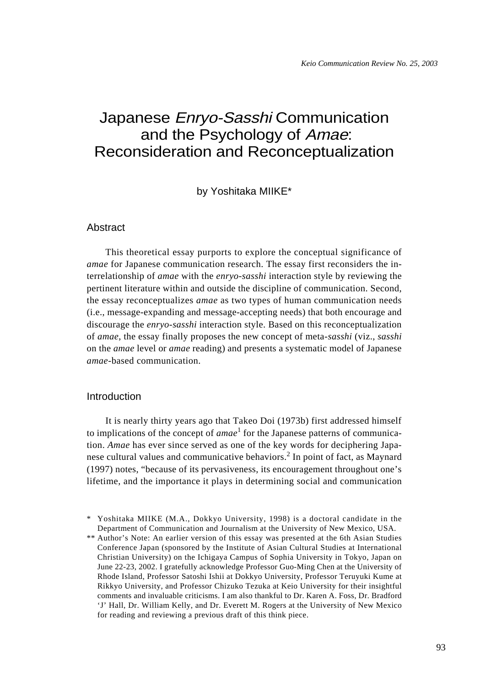# Japanese Enryo-Sasshi Communication and the Psychology of Amae: Reconsideration and Reconceptualization

by Yoshitaka MIIKE\*

## Abstract

This theoretical essay purports to explore the conceptual significance of *amae* for Japanese communication research. The essay first reconsiders the interrelationship of *amae* with the *enryo-sasshi* interaction style by reviewing the pertinent literature within and outside the discipline of communication. Second, the essay reconceptualizes *amae* as two types of human communication needs (i.e., message-expanding and message-accepting needs) that both encourage and discourage the *enryo-sasshi* interaction style. Based on this reconceptualization of *amae*, the essay finally proposes the new concept of meta-*sasshi* (viz., *sasshi* on the *amae* level or *amae* reading) and presents a systematic model of Japanese *amae*-based communication.

## Introduction

It is nearly thirty years ago that Takeo Doi (1973b) first addressed himself to implications of the concept of *amae*<sup>1</sup> for the Japanese patterns of communication. *Amae* has ever since served as one of the key words for deciphering Japanese cultural values and communicative behaviors.<sup>2</sup> In point of fact, as Maynard (1997) notes, "because of its pervasiveness, its encouragement throughout one's lifetime, and the importance it plays in determining social and communication

<sup>\*</sup> Yoshitaka MIIKE (M.A., Dokkyo University, 1998) is a doctoral candidate in the Department of Communication and Journalism at the University of New Mexico, USA.

<sup>\*\*</sup> Author's Note: An earlier version of this essay was presented at the 6th Asian Studies Conference Japan (sponsored by the Institute of Asian Cultural Studies at International Christian University) on the Ichigaya Campus of Sophia University in Tokyo, Japan on June 22-23, 2002. I gratefully acknowledge Professor Guo-Ming Chen at the University of Rhode Island, Professor Satoshi Ishii at Dokkyo University, Professor Teruyuki Kume at Rikkyo University, and Professor Chizuko Tezuka at Keio University for their insightful comments and invaluable criticisms. I am also thankful to Dr. Karen A. Foss, Dr. Bradford 'J' Hall, Dr. William Kelly, and Dr. Everett M. Rogers at the University of New Mexico for reading and reviewing a previous draft of this think piece.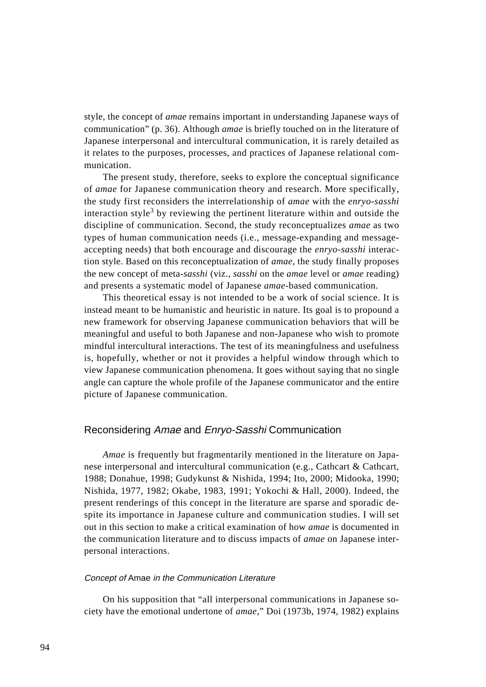style, the concept of *amae* remains important in understanding Japanese ways of communication" (p. 36). Although *amae* is briefly touched on in the literature of Japanese interpersonal and intercultural communication, it is rarely detailed as it relates to the purposes, processes, and practices of Japanese relational communication.

The present study, therefore, seeks to explore the conceptual significance of *amae* for Japanese communication theory and research. More specifically, the study first reconsiders the interrelationship of *amae* with the *enryo-sasshi* interaction style<sup>3</sup> by reviewing the pertinent literature within and outside the discipline of communication. Second, the study reconceptualizes *amae* as two types of human communication needs (i.e., message-expanding and messageaccepting needs) that both encourage and discourage the *enryo-sasshi* interaction style. Based on this reconceptualization of *amae*, the study finally proposes the new concept of meta-*sasshi* (viz., *sasshi* on the *amae* level or *amae* reading) and presents a systematic model of Japanese *amae*-based communication.

This theoretical essay is not intended to be a work of social science. It is instead meant to be humanistic and heuristic in nature. Its goal is to propound a new framework for observing Japanese communication behaviors that will be meaningful and useful to both Japanese and non-Japanese who wish to promote mindful intercultural interactions. The test of its meaningfulness and usefulness is, hopefully, whether or not it provides a helpful window through which to view Japanese communication phenomena. It goes without saying that no single angle can capture the whole profile of the Japanese communicator and the entire picture of Japanese communication.

## Reconsidering Amae and Enryo-Sasshi Communication

*Amae* is frequently but fragmentarily mentioned in the literature on Japanese interpersonal and intercultural communication (e.g., Cathcart & Cathcart, 1988; Donahue, 1998; Gudykunst & Nishida, 1994; Ito, 2000; Midooka, 1990; Nishida, 1977, 1982; Okabe, 1983, 1991; Yokochi & Hall, 2000). Indeed, the present renderings of this concept in the literature are sparse and sporadic despite its importance in Japanese culture and communication studies. I will set out in this section to make a critical examination of how *amae* is documented in the communication literature and to discuss impacts of *amae* on Japanese interpersonal interactions.

## Concept of Amae in the Communication Literature

On his supposition that "all interpersonal communications in Japanese society have the emotional undertone of *amae*," Doi (1973b, 1974, 1982) explains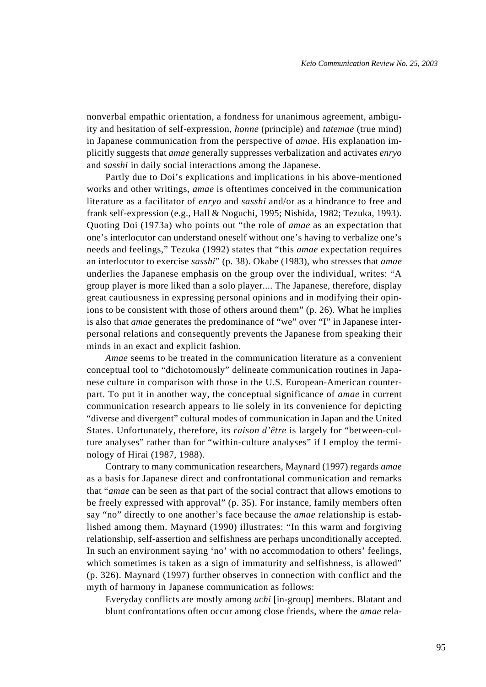nonverbal empathic orientation, a fondness for unanimous agreement, ambiguity and hesitation of self-expression, *honne* (principle) and *tatemae* (true mind) in Japanese communication from the perspective of *amae*. His explanation implicitly suggests that *amae* generally suppresses verbalization and activates *enryo* and *sasshi* in daily social interactions among the Japanese.

Partly due to Doi's explications and implications in his above-mentioned works and other writings, *amae* is oftentimes conceived in the communication literature as a facilitator of *enryo* and *sasshi* and/or as a hindrance to free and frank self-expression (e.g., Hall & Noguchi, 1995; Nishida, 1982; Tezuka, 1993). Quoting Doi (1973a) who points out "the role of *amae* as an expectation that one's interlocutor can understand oneself without one's having to verbalize one's needs and feelings," Tezuka (1992) states that "this *amae* expectation requires an interlocutor to exercise *sasshi*" (p. 38). Okabe (1983), who stresses that *amae* underlies the Japanese emphasis on the group over the individual, writes: "A group player is more liked than a solo player.... The Japanese, therefore, display great cautiousness in expressing personal opinions and in modifying their opinions to be consistent with those of others around them" (p. 26). What he implies is also that *amae* generates the predominance of "we" over "I" in Japanese interpersonal relations and consequently prevents the Japanese from speaking their minds in an exact and explicit fashion.

*Amae* seems to be treated in the communication literature as a convenient conceptual tool to "dichotomously" delineate communication routines in Japanese culture in comparison with those in the U.S. European-American counterpart. To put it in another way, the conceptual significance of *amae* in current communication research appears to lie solely in its convenience for depicting "diverse and divergent" cultural modes of communication in Japan and the United States. Unfortunately, therefore, its *raison d'être* is largely for "between-culture analyses" rather than for "within-culture analyses" if I employ the terminology of Hirai (1987, 1988).

Contrary to many communication researchers, Maynard (1997) regards *amae* as a basis for Japanese direct and confrontational communication and remarks that "*amae* can be seen as that part of the social contract that allows emotions to be freely expressed with approval" (p. 35). For instance, family members often say "no" directly to one another's face because the *amae* relationship is established among them. Maynard (1990) illustrates: "In this warm and forgiving relationship, self-assertion and selfishness are perhaps unconditionally accepted. In such an environment saying 'no' with no accommodation to others' feelings, which sometimes is taken as a sign of immaturity and selfishness, is allowed" (p. 326). Maynard (1997) further observes in connection with conflict and the myth of harmony in Japanese communication as follows:

Everyday conflicts are mostly among *uchi* [in-group] members. Blatant and blunt confrontations often occur among close friends, where the *amae* rela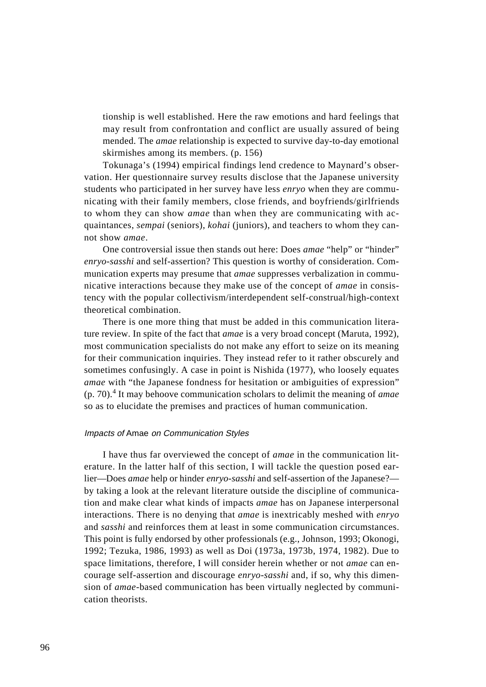tionship is well established. Here the raw emotions and hard feelings that may result from confrontation and conflict are usually assured of being mended. The *amae* relationship is expected to survive day-to-day emotional skirmishes among its members. (p. 156)

Tokunaga's (1994) empirical findings lend credence to Maynard's observation. Her questionnaire survey results disclose that the Japanese university students who participated in her survey have less *enryo* when they are communicating with their family members, close friends, and boyfriends/girlfriends to whom they can show *amae* than when they are communicating with acquaintances, *sempai* (seniors), *kohai* (juniors), and teachers to whom they cannot show *amae*.

One controversial issue then stands out here: Does *amae* "help" or "hinder" *enryo-sasshi* and self-assertion? This question is worthy of consideration. Communication experts may presume that *amae* suppresses verbalization in communicative interactions because they make use of the concept of *amae* in consistency with the popular collectivism/interdependent self-construal/high-context theoretical combination.

There is one more thing that must be added in this communication literature review. In spite of the fact that *amae* is a very broad concept (Maruta, 1992), most communication specialists do not make any effort to seize on its meaning for their communication inquiries. They instead refer to it rather obscurely and sometimes confusingly. A case in point is Nishida (1977), who loosely equates *amae* with "the Japanese fondness for hesitation or ambiguities of expression" (p. 70).<sup>4</sup> It may behoove communication scholars to delimit the meaning of *amae* so as to elucidate the premises and practices of human communication.

#### Impacts of Amae on Communication Styles

I have thus far overviewed the concept of *amae* in the communication literature. In the latter half of this section, I will tackle the question posed earlier—Does *amae* help or hinder *enryo-sasshi* and self-assertion of the Japanese? by taking a look at the relevant literature outside the discipline of communication and make clear what kinds of impacts *amae* has on Japanese interpersonal interactions. There is no denying that *amae* is inextricably meshed with *enryo* and *sasshi* and reinforces them at least in some communication circumstances. This point is fully endorsed by other professionals (e.g., Johnson, 1993; Okonogi, 1992; Tezuka, 1986, 1993) as well as Doi (1973a, 1973b, 1974, 1982). Due to space limitations, therefore, I will consider herein whether or not *amae* can encourage self-assertion and discourage *enryo-sasshi* and, if so, why this dimension of *amae*-based communication has been virtually neglected by communication theorists.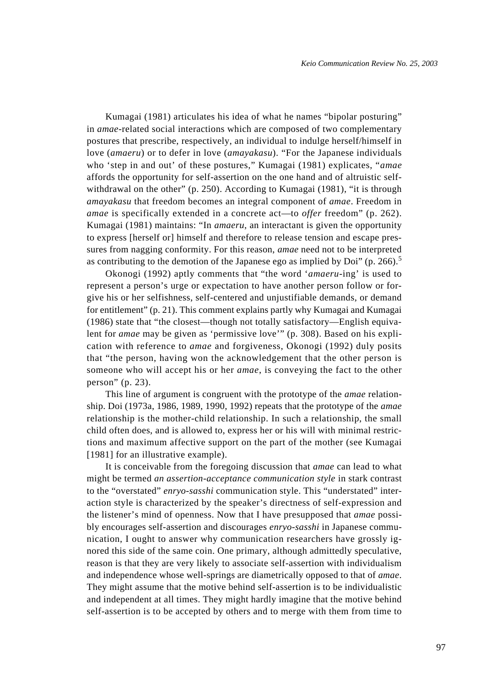Kumagai (1981) articulates his idea of what he names "bipolar posturing" in *amae*-related social interactions which are composed of two complementary postures that prescribe, respectively, an individual to indulge herself/himself in love (*amaeru*) or to defer in love (*amayakasu*). "For the Japanese individuals who 'step in and out' of these postures," Kumagai (1981) explicates, "*amae* affords the opportunity for self-assertion on the one hand and of altruistic selfwithdrawal on the other" (p. 250). According to Kumagai (1981), "it is through *amayakasu* that freedom becomes an integral component of *amae*. Freedom in *amae* is specifically extended in a concrete act—to *offer* freedom" (p. 262). Kumagai (1981) maintains: "In *amaeru*, an interactant is given the opportunity to express [herself or] himself and therefore to release tension and escape pressures from nagging conformity. For this reason, *amae* need not to be interpreted as contributing to the demotion of the Japanese ego as implied by Doi" (p. 266).<sup>5</sup>

Okonogi (1992) aptly comments that "the word '*amaeru*-ing' is used to represent a person's urge or expectation to have another person follow or forgive his or her selfishness, self-centered and unjustifiable demands, or demand for entitlement" (p. 21). This comment explains partly why Kumagai and Kumagai (1986) state that "the closest—though not totally satisfactory—English equivalent for *amae* may be given as 'permissive love'" (p. 308). Based on his explication with reference to *amae* and forgiveness, Okonogi (1992) duly posits that "the person, having won the acknowledgement that the other person is someone who will accept his or her *amae*, is conveying the fact to the other person" (p. 23).

This line of argument is congruent with the prototype of the *amae* relationship. Doi (1973a, 1986, 1989, 1990, 1992) repeats that the prototype of the *amae* relationship is the mother-child relationship. In such a relationship, the small child often does, and is allowed to, express her or his will with minimal restrictions and maximum affective support on the part of the mother (see Kumagai [1981] for an illustrative example).

It is conceivable from the foregoing discussion that *amae* can lead to what might be termed *an assertion-acceptance communication style* in stark contrast to the "overstated" *enryo-sasshi* communication style. This "understated" interaction style is characterized by the speaker's directness of self-expression and the listener's mind of openness. Now that I have presupposed that *amae* possibly encourages self-assertion and discourages *enryo-sasshi* in Japanese communication, I ought to answer why communication researchers have grossly ignored this side of the same coin. One primary, although admittedly speculative, reason is that they are very likely to associate self-assertion with individualism and independence whose well-springs are diametrically opposed to that of *amae*. They might assume that the motive behind self-assertion is to be individualistic and independent at all times. They might hardly imagine that the motive behind self-assertion is to be accepted by others and to merge with them from time to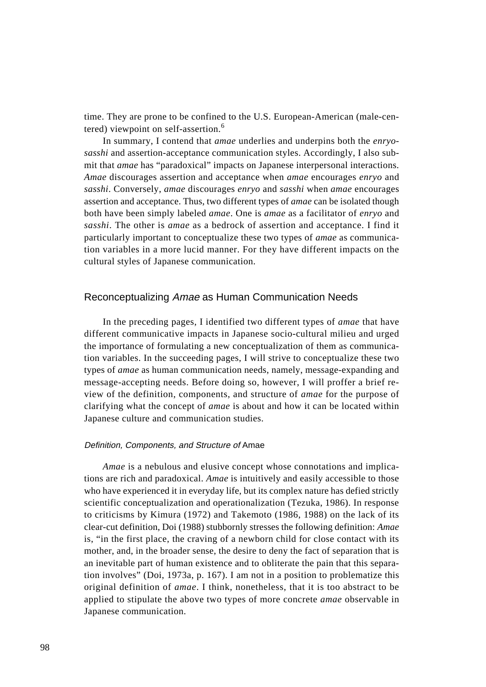time. They are prone to be confined to the U.S. European-American (male-centered) viewpoint on self-assertion.<sup>6</sup>

In summary, I contend that *amae* underlies and underpins both the *enryosasshi* and assertion-acceptance communication styles. Accordingly, I also submit that *amae* has "paradoxical" impacts on Japanese interpersonal interactions. *Amae* discourages assertion and acceptance when *amae* encourages *enryo* and *sasshi*. Conversely, *amae* discourages *enryo* and *sasshi* when *amae* encourages assertion and acceptance. Thus, two different types of *amae* can be isolated though both have been simply labeled *amae*. One is *amae* as a facilitator of *enryo* and *sasshi*. The other is *amae* as a bedrock of assertion and acceptance. I find it particularly important to conceptualize these two types of *amae* as communication variables in a more lucid manner. For they have different impacts on the cultural styles of Japanese communication.

## Reconceptualizing Amae as Human Communication Needs

In the preceding pages, I identified two different types of *amae* that have different communicative impacts in Japanese socio-cultural milieu and urged the importance of formulating a new conceptualization of them as communication variables. In the succeeding pages, I will strive to conceptualize these two types of *amae* as human communication needs, namely, message-expanding and message-accepting needs. Before doing so, however, I will proffer a brief review of the definition, components, and structure of *amae* for the purpose of clarifying what the concept of *amae* is about and how it can be located within Japanese culture and communication studies.

## Definition, Components, and Structure of Amae

*Amae* is a nebulous and elusive concept whose connotations and implications are rich and paradoxical. *Amae* is intuitively and easily accessible to those who have experienced it in everyday life, but its complex nature has defied strictly scientific conceptualization and operationalization (Tezuka, 1986). In response to criticisms by Kimura (1972) and Takemoto (1986, 1988) on the lack of its clear-cut definition, Doi (1988) stubbornly stresses the following definition: *Amae* is, "in the first place, the craving of a newborn child for close contact with its mother, and, in the broader sense, the desire to deny the fact of separation that is an inevitable part of human existence and to obliterate the pain that this separation involves" (Doi, 1973a, p. 167). I am not in a position to problematize this original definition of *amae*. I think, nonetheless, that it is too abstract to be applied to stipulate the above two types of more concrete *amae* observable in Japanese communication.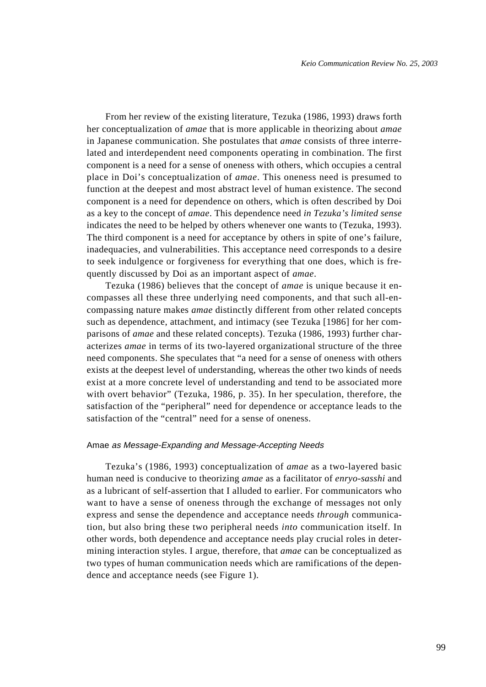From her review of the existing literature, Tezuka (1986, 1993) draws forth her conceptualization of *amae* that is more applicable in theorizing about *amae* in Japanese communication. She postulates that *amae* consists of three interrelated and interdependent need components operating in combination. The first component is a need for a sense of oneness with others, which occupies a central place in Doi's conceptualization of *amae*. This oneness need is presumed to function at the deepest and most abstract level of human existence. The second component is a need for dependence on others, which is often described by Doi as a key to the concept of *amae*. This dependence need *in Tezuka's limited sense* indicates the need to be helped by others whenever one wants to (Tezuka, 1993). The third component is a need for acceptance by others in spite of one's failure, inadequacies, and vulnerabilities. This acceptance need corresponds to a desire to seek indulgence or forgiveness for everything that one does, which is frequently discussed by Doi as an important aspect of *amae*.

Tezuka (1986) believes that the concept of *amae* is unique because it encompasses all these three underlying need components, and that such all-encompassing nature makes *amae* distinctly different from other related concepts such as dependence, attachment, and intimacy (see Tezuka [1986] for her comparisons of *amae* and these related concepts). Tezuka (1986, 1993) further characterizes *amae* in terms of its two-layered organizational structure of the three need components. She speculates that "a need for a sense of oneness with others exists at the deepest level of understanding, whereas the other two kinds of needs exist at a more concrete level of understanding and tend to be associated more with overt behavior" (Tezuka, 1986, p. 35). In her speculation, therefore, the satisfaction of the "peripheral" need for dependence or acceptance leads to the satisfaction of the "central" need for a sense of oneness.

## Amae as Message-Expanding and Message-Accepting Needs

Tezuka's (1986, 1993) conceptualization of *amae* as a two-layered basic human need is conducive to theorizing *amae* as a facilitator of *enryo-sasshi* and as a lubricant of self-assertion that I alluded to earlier. For communicators who want to have a sense of oneness through the exchange of messages not only express and sense the dependence and acceptance needs *through* communication, but also bring these two peripheral needs *into* communication itself. In other words, both dependence and acceptance needs play crucial roles in determining interaction styles. I argue, therefore, that *amae* can be conceptualized as two types of human communication needs which are ramifications of the dependence and acceptance needs (see Figure 1).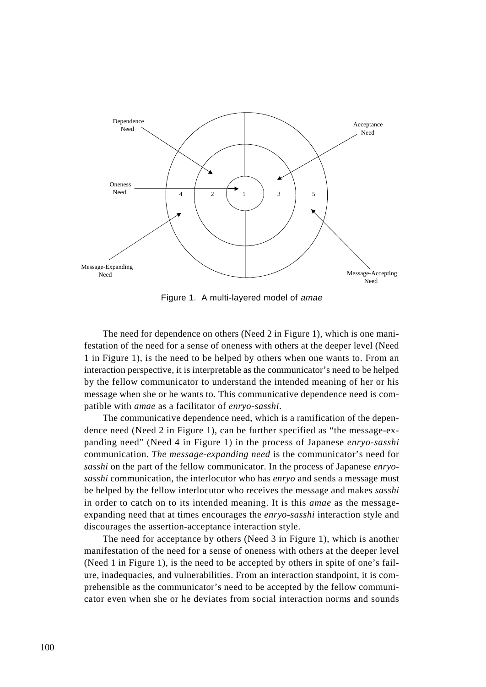

Figure 1. A multi-layered model of amae

The need for dependence on others (Need 2 in Figure 1), which is one manifestation of the need for a sense of oneness with others at the deeper level (Need 1 in Figure 1), is the need to be helped by others when one wants to. From an interaction perspective, it is interpretable as the communicator's need to be helped by the fellow communicator to understand the intended meaning of her or his message when she or he wants to. This communicative dependence need is compatible with *amae* as a facilitator of *enryo-sasshi*.

The communicative dependence need, which is a ramification of the dependence need (Need 2 in Figure 1), can be further specified as "the message-expanding need" (Need 4 in Figure 1) in the process of Japanese *enryo-sasshi* communication. *The message-expanding need* is the communicator's need for *sasshi* on the part of the fellow communicator. In the process of Japanese *enryosasshi* communication, the interlocutor who has *enryo* and sends a message must be helped by the fellow interlocutor who receives the message and makes *sasshi* in order to catch on to its intended meaning. It is this *amae* as the messageexpanding need that at times encourages the *enryo-sasshi* interaction style and discourages the assertion-acceptance interaction style.

The need for acceptance by others (Need 3 in Figure 1), which is another manifestation of the need for a sense of oneness with others at the deeper level (Need 1 in Figure 1), is the need to be accepted by others in spite of one's failure, inadequacies, and vulnerabilities. From an interaction standpoint, it is comprehensible as the communicator's need to be accepted by the fellow communicator even when she or he deviates from social interaction norms and sounds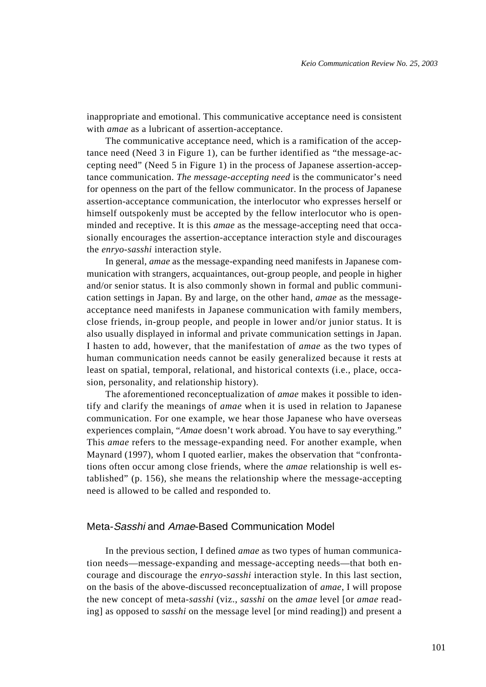inappropriate and emotional. This communicative acceptance need is consistent with *amae* as a lubricant of assertion-acceptance.

The communicative acceptance need, which is a ramification of the acceptance need (Need 3 in Figure 1), can be further identified as "the message-accepting need" (Need 5 in Figure 1) in the process of Japanese assertion-acceptance communication. *The message-accepting need* is the communicator's need for openness on the part of the fellow communicator. In the process of Japanese assertion-acceptance communication, the interlocutor who expresses herself or himself outspokenly must be accepted by the fellow interlocutor who is openminded and receptive. It is this *amae* as the message-accepting need that occasionally encourages the assertion-acceptance interaction style and discourages the *enryo-sasshi* interaction style.

In general, *amae* as the message-expanding need manifests in Japanese communication with strangers, acquaintances, out-group people, and people in higher and/or senior status. It is also commonly shown in formal and public communication settings in Japan. By and large, on the other hand, *amae* as the messageacceptance need manifests in Japanese communication with family members, close friends, in-group people, and people in lower and/or junior status. It is also usually displayed in informal and private communication settings in Japan. I hasten to add, however, that the manifestation of *amae* as the two types of human communication needs cannot be easily generalized because it rests at least on spatial, temporal, relational, and historical contexts (i.e., place, occasion, personality, and relationship history).

The aforementioned reconceptualization of *amae* makes it possible to identify and clarify the meanings of *amae* when it is used in relation to Japanese communication. For one example, we hear those Japanese who have overseas experiences complain, "*Amae* doesn't work abroad. You have to say everything." This *amae* refers to the message-expanding need. For another example, when Maynard (1997), whom I quoted earlier, makes the observation that "confrontations often occur among close friends, where the *amae* relationship is well established" (p. 156), she means the relationship where the message-accepting need is allowed to be called and responded to.

# Meta-Sasshi and Amae-Based Communication Model

In the previous section, I defined *amae* as two types of human communication needs—message-expanding and message-accepting needs—that both encourage and discourage the *enryo-sasshi* interaction style. In this last section, on the basis of the above-discussed reconceptualization of *amae*, I will propose the new concept of meta-*sasshi* (viz., *sasshi* on the *amae* level [or *amae* reading] as opposed to *sasshi* on the message level [or mind reading]) and present a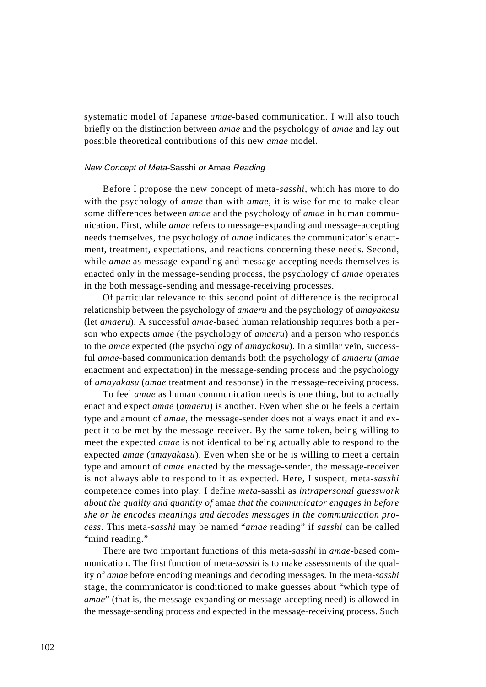systematic model of Japanese *amae*-based communication. I will also touch briefly on the distinction between *amae* and the psychology of *amae* and lay out possible theoretical contributions of this new *amae* model.

#### New Concept of Meta-Sasshi or Amae Reading

Before I propose the new concept of meta-*sasshi*, which has more to do with the psychology of *amae* than with *amae*, it is wise for me to make clear some differences between *amae* and the psychology of *amae* in human communication. First, while *amae* refers to message-expanding and message-accepting needs themselves, the psychology of *amae* indicates the communicator's enactment, treatment, expectations, and reactions concerning these needs. Second, while *amae* as message-expanding and message-accepting needs themselves is enacted only in the message-sending process, the psychology of *amae* operates in the both message-sending and message-receiving processes.

Of particular relevance to this second point of difference is the reciprocal relationship between the psychology of *amaeru* and the psychology of *amayakasu* (let *amaeru*). A successful *amae*-based human relationship requires both a person who expects *amae* (the psychology of *amaeru*) and a person who responds to the *amae* expected (the psychology of *amayakasu*). In a similar vein, successful *amae*-based communication demands both the psychology of *amaeru* (*amae* enactment and expectation) in the message-sending process and the psychology of *amayakasu* (*amae* treatment and response) in the message-receiving process.

To feel *amae* as human communication needs is one thing, but to actually enact and expect *amae* (*amaeru*) is another. Even when she or he feels a certain type and amount of *amae*, the message-sender does not always enact it and expect it to be met by the message-receiver. By the same token, being willing to meet the expected *amae* is not identical to being actually able to respond to the expected *amae* (*amayakasu*). Even when she or he is willing to meet a certain type and amount of *amae* enacted by the message-sender, the message-receiver is not always able to respond to it as expected. Here, I suspect, meta-*sasshi* competence comes into play. I define *meta-*sasshi as *intrapersonal guesswork about the quality and quantity of* amae *that the communicator engages in before she or he encodes meanings and decodes messages in the communication process*. This meta-*sasshi* may be named "*amae* reading" if *sasshi* can be called "mind reading."

There are two important functions of this meta-*sasshi* in *amae*-based communication. The first function of meta-*sasshi* is to make assessments of the quality of *amae* before encoding meanings and decoding messages. In the meta-*sasshi* stage, the communicator is conditioned to make guesses about "which type of *amae*" (that is, the message-expanding or message-accepting need) is allowed in the message-sending process and expected in the message-receiving process. Such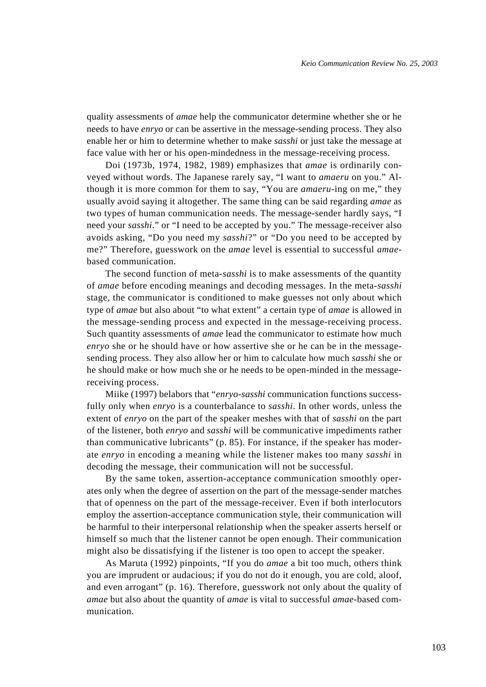quality assessments of *amae* help the communicator determine whether she or he needs to have *enryo* or can be assertive in the message-sending process. They also enable her or him to determine whether to make *sasshi* or just take the message at face value with her or his open-mindedness in the message-receiving process.

Doi (1973b, 1974, 1982, 1989) emphasizes that *amae* is ordinarily conveyed without words. The Japanese rarely say, "I want to *amaeru* on you." Although it is more common for them to say, "You are *amaeru*-ing on me," they usually avoid saying it altogether. The same thing can be said regarding *amae* as two types of human communication needs. The message-sender hardly says, "I need your *sasshi*." or "I need to be accepted by you." The message-receiver also avoids asking, "Do you need my *sasshi*?" or "Do you need to be accepted by me?" Therefore, guesswork on the *amae* level is essential to successful *amae*based communication.

The second function of meta-*sasshi* is to make assessments of the quantity of *amae* before encoding meanings and decoding messages. In the meta-*sasshi* stage, the communicator is conditioned to make guesses not only about which type of *amae* but also about "to what extent" a certain type of *amae* is allowed in the message-sending process and expected in the message-receiving process. Such quantity assessments of *amae* lead the communicator to estimate how much *enryo* she or he should have or how assertive she or he can be in the messagesending process. They also allow her or him to calculate how much *sasshi* she or he should make or how much she or he needs to be open-minded in the messagereceiving process.

Miike (1997) belabors that "*enryo-sasshi* communication functions successfully only when *enryo* is a counterbalance to *sasshi*. In other words, unless the extent of *enryo* on the part of the speaker meshes with that of *sasshi* on the part of the listener, both *enryo* and *sasshi* will be communicative impediments rather than communicative lubricants" (p. 85). For instance, if the speaker has moderate *enryo* in encoding a meaning while the listener makes too many *sasshi* in decoding the message, their communication will not be successful.

By the same token, assertion-acceptance communication smoothly operates only when the degree of assertion on the part of the message-sender matches that of openness on the part of the message-receiver. Even if both interlocutors employ the assertion-acceptance communication style, their communication will be harmful to their interpersonal relationship when the speaker asserts herself or himself so much that the listener cannot be open enough. Their communication might also be dissatisfying if the listener is too open to accept the speaker.

As Maruta (1992) pinpoints, "If you do *amae* a bit too much, others think you are imprudent or audacious; if you do not do it enough, you are cold, aloof, and even arrogant" (p. 16). Therefore, guesswork not only about the quality of *amae* but also about the quantity of *amae* is vital to successful *amae*-based communication.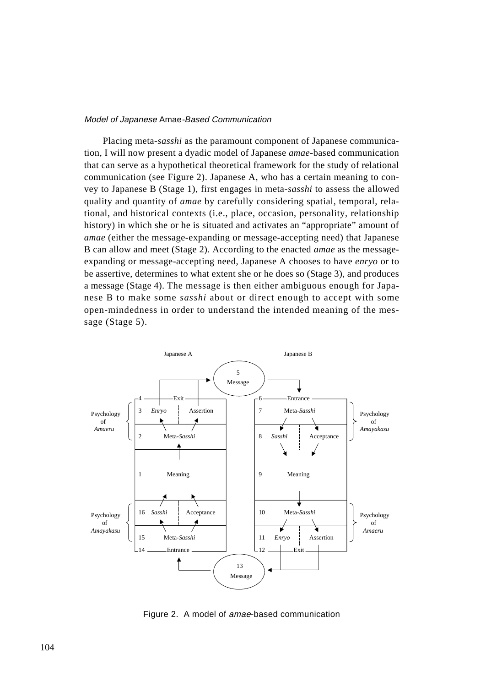#### Model of Japanese Amae-Based Communication

Placing meta-*sasshi* as the paramount component of Japanese communication, I will now present a dyadic model of Japanese *amae*-based communication that can serve as a hypothetical theoretical framework for the study of relational communication (see Figure 2). Japanese A, who has a certain meaning to convey to Japanese B (Stage 1), first engages in meta-*sasshi* to assess the allowed quality and quantity of *amae* by carefully considering spatial, temporal, relational, and historical contexts (i.e., place, occasion, personality, relationship history) in which she or he is situated and activates an "appropriate" amount of *amae* (either the message-expanding or message-accepting need) that Japanese B can allow and meet (Stage 2). According to the enacted *amae* as the messageexpanding or message-accepting need, Japanese A chooses to have *enryo* or to be assertive, determines to what extent she or he does so (Stage 3), and produces a message (Stage 4). The message is then either ambiguous enough for Japanese B to make some *sasshi* about or direct enough to accept with some open-mindedness in order to understand the intended meaning of the message (Stage 5).



Figure 2. A model of amae-based communication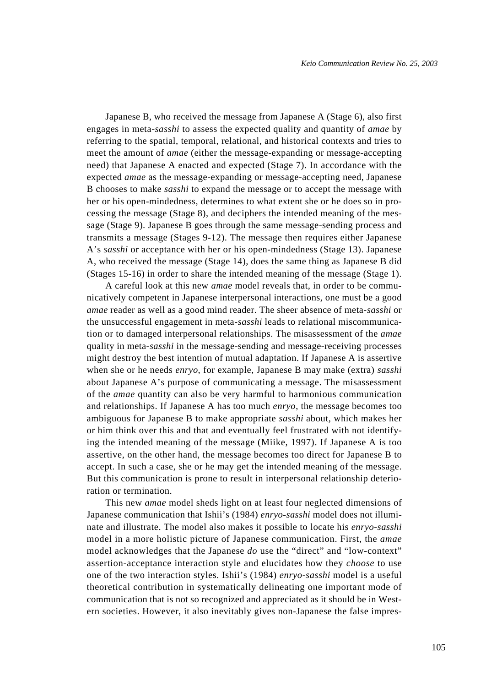Japanese B, who received the message from Japanese A (Stage 6), also first engages in meta-*sasshi* to assess the expected quality and quantity of *amae* by referring to the spatial, temporal, relational, and historical contexts and tries to meet the amount of *amae* (either the message-expanding or message-accepting need) that Japanese A enacted and expected (Stage 7). In accordance with the expected *amae* as the message-expanding or message-accepting need, Japanese B chooses to make *sasshi* to expand the message or to accept the message with her or his open-mindedness, determines to what extent she or he does so in processing the message (Stage 8), and deciphers the intended meaning of the message (Stage 9). Japanese B goes through the same message-sending process and transmits a message (Stages 9-12). The message then requires either Japanese A's *sasshi* or acceptance with her or his open-mindedness (Stage 13). Japanese A, who received the message (Stage 14), does the same thing as Japanese B did (Stages 15-16) in order to share the intended meaning of the message (Stage 1).

A careful look at this new *amae* model reveals that, in order to be communicatively competent in Japanese interpersonal interactions, one must be a good *amae* reader as well as a good mind reader. The sheer absence of meta-*sasshi* or the unsuccessful engagement in meta-*sasshi* leads to relational miscommunication or to damaged interpersonal relationships. The misassessment of the *amae* quality in meta-*sasshi* in the message-sending and message-receiving processes might destroy the best intention of mutual adaptation. If Japanese A is assertive when she or he needs *enryo*, for example, Japanese B may make (extra) *sasshi* about Japanese A's purpose of communicating a message. The misassessment of the *amae* quantity can also be very harmful to harmonious communication and relationships. If Japanese A has too much *enryo*, the message becomes too ambiguous for Japanese B to make appropriate *sasshi* about, which makes her or him think over this and that and eventually feel frustrated with not identifying the intended meaning of the message (Miike, 1997). If Japanese A is too assertive, on the other hand, the message becomes too direct for Japanese B to accept. In such a case, she or he may get the intended meaning of the message. But this communication is prone to result in interpersonal relationship deterioration or termination.

This new *amae* model sheds light on at least four neglected dimensions of Japanese communication that Ishii's (1984) *enryo-sasshi* model does not illuminate and illustrate. The model also makes it possible to locate his *enryo-sasshi* model in a more holistic picture of Japanese communication. First, the *amae* model acknowledges that the Japanese *do* use the "direct" and "low-context" assertion-acceptance interaction style and elucidates how they *choose* to use one of the two interaction styles. Ishii's (1984) *enryo-sasshi* model is a useful theoretical contribution in systematically delineating one important mode of communication that is not so recognized and appreciated as it should be in Western societies. However, it also inevitably gives non-Japanese the false impres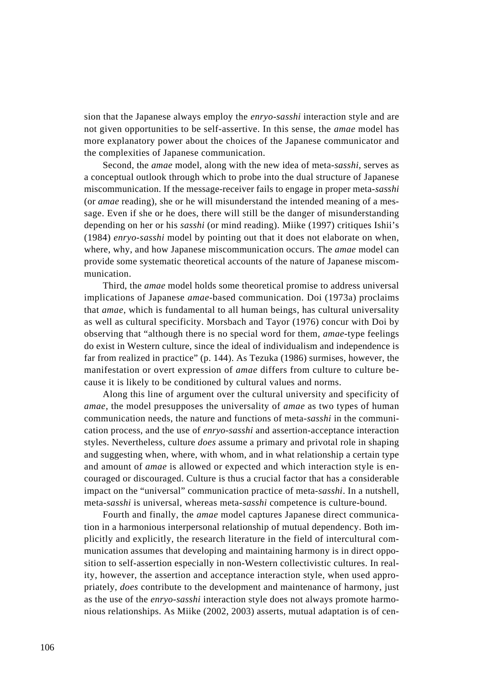sion that the Japanese always employ the *enryo-sasshi* interaction style and are not given opportunities to be self-assertive. In this sense, the *amae* model has more explanatory power about the choices of the Japanese communicator and the complexities of Japanese communication.

Second, the *amae* model, along with the new idea of meta-*sasshi*, serves as a conceptual outlook through which to probe into the dual structure of Japanese miscommunication. If the message-receiver fails to engage in proper meta-*sasshi* (or *amae* reading), she or he will misunderstand the intended meaning of a message. Even if she or he does, there will still be the danger of misunderstanding depending on her or his *sasshi* (or mind reading). Miike (1997) critiques Ishii's (1984) *enryo-sasshi* model by pointing out that it does not elaborate on when, where, why, and how Japanese miscommunication occurs. The *amae* model can provide some systematic theoretical accounts of the nature of Japanese miscommunication.

Third, the *amae* model holds some theoretical promise to address universal implications of Japanese *amae*-based communication. Doi (1973a) proclaims that *amae*, which is fundamental to all human beings, has cultural universality as well as cultural specificity. Morsbach and Tayor (1976) concur with Doi by observing that "although there is no special word for them, *amae*-type feelings do exist in Western culture, since the ideal of individualism and independence is far from realized in practice" (p. 144). As Tezuka (1986) surmises, however, the manifestation or overt expression of *amae* differs from culture to culture because it is likely to be conditioned by cultural values and norms.

Along this line of argument over the cultural university and specificity of *amae*, the model presupposes the universality of *amae* as two types of human communication needs, the nature and functions of meta-*sasshi* in the communication process, and the use of *enryo-sasshi* and assertion-acceptance interaction styles. Nevertheless, culture *does* assume a primary and privotal role in shaping and suggesting when, where, with whom, and in what relationship a certain type and amount of *amae* is allowed or expected and which interaction style is encouraged or discouraged. Culture is thus a crucial factor that has a considerable impact on the "universal" communication practice of meta-*sasshi*. In a nutshell, meta-*sasshi* is universal, whereas meta-*sasshi* competence is culture-bound.

Fourth and finally, the *amae* model captures Japanese direct communication in a harmonious interpersonal relationship of mutual dependency. Both implicitly and explicitly, the research literature in the field of intercultural communication assumes that developing and maintaining harmony is in direct opposition to self-assertion especially in non-Western collectivistic cultures. In reality, however, the assertion and acceptance interaction style, when used appropriately, *does* contribute to the development and maintenance of harmony, just as the use of the *enryo-sasshi* interaction style does not always promote harmonious relationships. As Miike (2002, 2003) asserts, mutual adaptation is of cen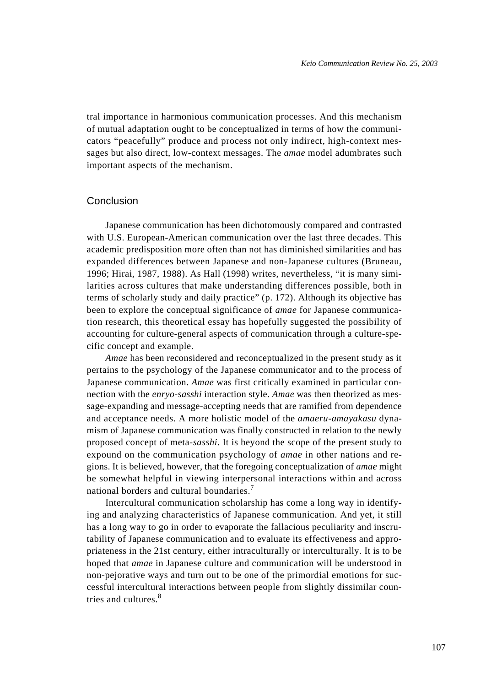tral importance in harmonious communication processes. And this mechanism of mutual adaptation ought to be conceptualized in terms of how the communicators "peacefully" produce and process not only indirect, high-context messages but also direct, low-context messages. The *amae* model adumbrates such important aspects of the mechanism.

# Conclusion

Japanese communication has been dichotomously compared and contrasted with U.S. European-American communication over the last three decades. This academic predisposition more often than not has diminished similarities and has expanded differences between Japanese and non-Japanese cultures (Bruneau, 1996; Hirai, 1987, 1988). As Hall (1998) writes, nevertheless, "it is many similarities across cultures that make understanding differences possible, both in terms of scholarly study and daily practice" (p. 172). Although its objective has been to explore the conceptual significance of *amae* for Japanese communication research, this theoretical essay has hopefully suggested the possibility of accounting for culture-general aspects of communication through a culture-specific concept and example.

*Amae* has been reconsidered and reconceptualized in the present study as it pertains to the psychology of the Japanese communicator and to the process of Japanese communication. *Amae* was first critically examined in particular connection with the *enryo-sasshi* interaction style. *Amae* was then theorized as message-expanding and message-accepting needs that are ramified from dependence and acceptance needs. A more holistic model of the *amaeru-amayakasu* dynamism of Japanese communication was finally constructed in relation to the newly proposed concept of meta*-sasshi*. It is beyond the scope of the present study to expound on the communication psychology of *amae* in other nations and regions. It is believed, however, that the foregoing conceptualization of *amae* might be somewhat helpful in viewing interpersonal interactions within and across national borders and cultural boundaries.<sup>7</sup>

Intercultural communication scholarship has come a long way in identifying and analyzing characteristics of Japanese communication. And yet, it still has a long way to go in order to evaporate the fallacious peculiarity and inscrutability of Japanese communication and to evaluate its effectiveness and appropriateness in the 21st century, either intraculturally or interculturally. It is to be hoped that *amae* in Japanese culture and communication will be understood in non-pejorative ways and turn out to be one of the primordial emotions for successful intercultural interactions between people from slightly dissimilar countries and cultures.<sup>8</sup>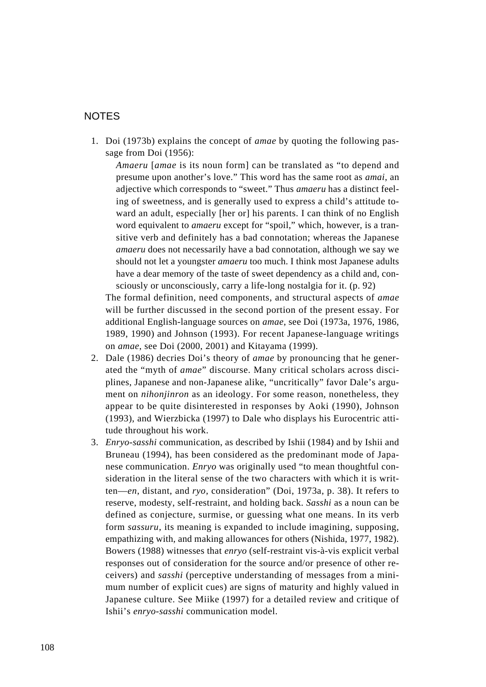# NOTES

1. Doi (1973b) explains the concept of *amae* by quoting the following passage from Doi (1956):

*Amaeru* [*amae* is its noun form] can be translated as "to depend and presume upon another's love." This word has the same root as *amai*, an adjective which corresponds to "sweet." Thus *amaeru* has a distinct feeling of sweetness, and is generally used to express a child's attitude toward an adult, especially [her or] his parents. I can think of no English word equivalent to *amaeru* except for "spoil," which, however, is a transitive verb and definitely has a bad connotation; whereas the Japanese *amaeru* does not necessarily have a bad connotation, although we say we should not let a youngster *amaeru* too much. I think most Japanese adults have a dear memory of the taste of sweet dependency as a child and, consciously or unconsciously, carry a life-long nostalgia for it. (p. 92)

The formal definition, need components, and structural aspects of *amae* will be further discussed in the second portion of the present essay. For additional English-language sources on *amae*, see Doi (1973a, 1976, 1986, 1989, 1990) and Johnson (1993). For recent Japanese-language writings on *amae*, see Doi (2000, 2001) and Kitayama (1999).

- 2. Dale (1986) decries Doi's theory of *amae* by pronouncing that he generated the "myth of *amae*" discourse. Many critical scholars across disciplines, Japanese and non-Japanese alike, "uncritically" favor Dale's argument on *nihonjinron* as an ideology. For some reason, nonetheless, they appear to be quite disinterested in responses by Aoki (1990), Johnson (1993), and Wierzbicka (1997) to Dale who displays his Eurocentric attitude throughout his work.
- 3. *Enryo-sasshi* communication, as described by Ishii (1984) and by Ishii and Bruneau (1994), has been considered as the predominant mode of Japanese communication. *Enryo* was originally used "to mean thoughtful consideration in the literal sense of the two characters with which it is written—*en*, distant, and *ryo*, consideration" (Doi, 1973a, p. 38). It refers to reserve, modesty, self-restraint, and holding back. *Sasshi* as a noun can be defined as conjecture, surmise, or guessing what one means. In its verb form *sassuru*, its meaning is expanded to include imagining, supposing, empathizing with, and making allowances for others (Nishida, 1977, 1982). Bowers (1988) witnesses that *enryo* (self-restraint vis-à-vis explicit verbal responses out of consideration for the source and/or presence of other receivers) and *sasshi* (perceptive understanding of messages from a minimum number of explicit cues) are signs of maturity and highly valued in Japanese culture. See Miike (1997) for a detailed review and critique of Ishii's *enryo-sasshi* communication model.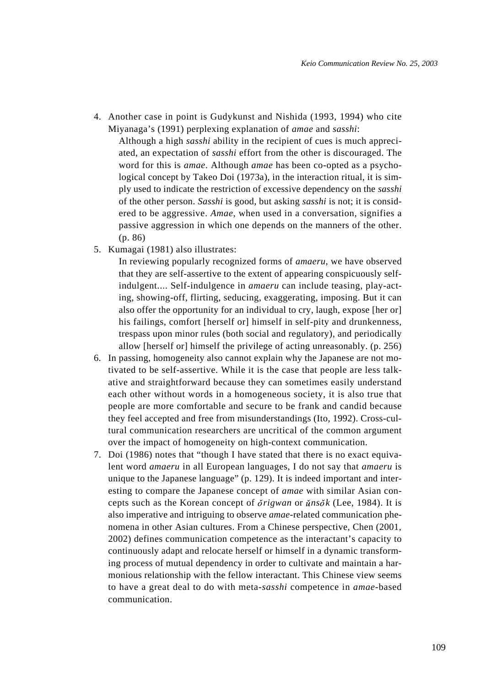4. Another case in point is Gudykunst and Nishida (1993, 1994) who cite Miyanaga's (1991) perplexing explanation of *amae* and *sasshi*:

Although a high *sasshi* ability in the recipient of cues is much appreciated, an expectation of *sasshi* effort from the other is discouraged. The word for this is *amae*. Although *amae* has been co-opted as a psychological concept by Takeo Doi (1973a), in the interaction ritual, it is simply used to indicate the restriction of excessive dependency on the *sasshi* of the other person. *Sasshi* is good, but asking *sasshi* is not; it is considered to be aggressive. *Amae*, when used in a conversation, signifies a passive aggression in which one depends on the manners of the other. (p. 86)

5. Kumagai (1981) also illustrates:

In reviewing popularly recognized forms of *amaeru*, we have observed that they are self-assertive to the extent of appearing conspicuously selfindulgent.... Self-indulgence in *amaeru* can include teasing, play-acting, showing-off, flirting, seducing, exaggerating, imposing. But it can also offer the opportunity for an individual to cry, laugh, expose [her or] his failings, comfort [herself or] himself in self-pity and drunkenness, trespass upon minor rules (both social and regulatory), and periodically allow [herself or] himself the privilege of acting unreasonably. (p. 256)

- 6. In passing, homogeneity also cannot explain why the Japanese are not motivated to be self-assertive. While it is the case that people are less talkative and straightforward because they can sometimes easily understand each other without words in a homogeneous society, it is also true that people are more comfortable and secure to be frank and candid because they feel accepted and free from misunderstandings (Ito, 1992). Cross-cultural communication researchers are uncritical of the common argument over the impact of homogeneity on high-context communication.
- 7. Doi (1986) notes that "though I have stated that there is no exact equivalent word *amaeru* in all European languages, I do not say that *amaeru* is unique to the Japanese language" (p. 129). It is indeed important and interesting to compare the Japanese concept of *amae* with similar Asian concepts such as the Korean concept of  $\delta$ rigwan or  $\delta$ *k* (Lee, 1984). It is also imperative and intriguing to observe *amae*-related communication phenomena in other Asian cultures. From a Chinese perspective, Chen (2001, 2002) defines communication competence as the interactant's capacity to continuously adapt and relocate herself or himself in a dynamic transforming process of mutual dependency in order to cultivate and maintain a harmonious relationship with the fellow interactant. This Chinese view seems to have a great deal to do with meta-*sasshi* competence in *amae*-based communication.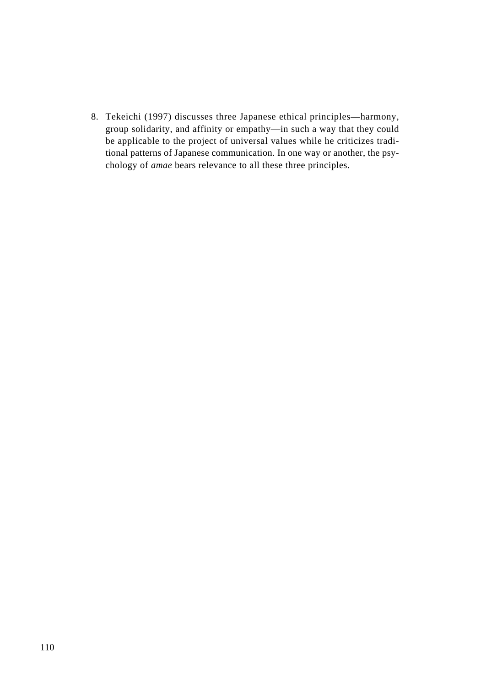8. Tekeichi (1997) discusses three Japanese ethical principles—harmony, group solidarity, and affinity or empathy—in such a way that they could be applicable to the project of universal values while he criticizes traditional patterns of Japanese communication. In one way or another, the psychology of *amae* bears relevance to all these three principles.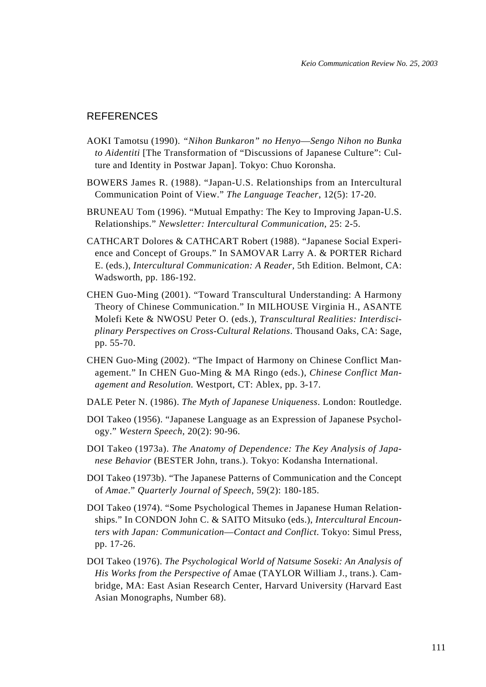# REFERENCES

- AOKI Tamotsu (1990). *"Nihon Bunkaron" no Henyo*—*Sengo Nihon no Bunka to Aidentiti* [The Transformation of "Discussions of Japanese Culture": Culture and Identity in Postwar Japan]. Tokyo: Chuo Koronsha.
- BOWERS James R. (1988). "Japan-U.S. Relationships from an Intercultural Communication Point of View." *The Language Teacher*, 12(5): 17-20.
- BRUNEAU Tom (1996). "Mutual Empathy: The Key to Improving Japan-U.S. Relationships." *Newsletter: Intercultural Communication*, 25: 2-5.
- CATHCART Dolores & CATHCART Robert (1988). "Japanese Social Experience and Concept of Groups." In SAMOVAR Larry A. & PORTER Richard E. (eds.), *Intercultural Communication: A Reader*, 5th Edition. Belmont, CA: Wadsworth, pp. 186-192.
- CHEN Guo-Ming (2001). "Toward Transcultural Understanding: A Harmony Theory of Chinese Communication." In MILHOUSE Virginia H., ASANTE Molefi Kete & NWOSU Peter O. (eds.), *Transcultural Realities: Interdisciplinary Perspectives on Cross-Cultural Relations*. Thousand Oaks, CA: Sage, pp. 55-70.
- CHEN Guo-Ming (2002). "The Impact of Harmony on Chinese Conflict Management." In CHEN Guo-Ming & MA Ringo (eds.), *Chinese Conflict Management and Resolution.* Westport, CT: Ablex, pp. 3-17.
- DALE Peter N. (1986). *The Myth of Japanese Uniqueness*. London: Routledge.
- DOI Takeo (1956). "Japanese Language as an Expression of Japanese Psychology." *Western Speech*, 20(2): 90-96.
- DOI Takeo (1973a). *The Anatomy of Dependence: The Key Analysis of Japanese Behavior* (BESTER John, trans.). Tokyo: Kodansha International.
- DOI Takeo (1973b). "The Japanese Patterns of Communication and the Concept of *Amae*." *Quarterly Journal of Speech*, 59(2): 180-185.
- DOI Takeo (1974). "Some Psychological Themes in Japanese Human Relationships." In CONDON John C. & SAITO Mitsuko (eds.), *Intercultural Encounters with Japan: Communication*—*Contact and Conflict*. Tokyo: Simul Press, pp. 17-26.
- DOI Takeo (1976). *The Psychological World of Natsume Soseki: An Analysis of His Works from the Perspective of* Amae (TAYLOR William J., trans.). Cambridge, MA: East Asian Research Center, Harvard University (Harvard East Asian Monographs, Number 68).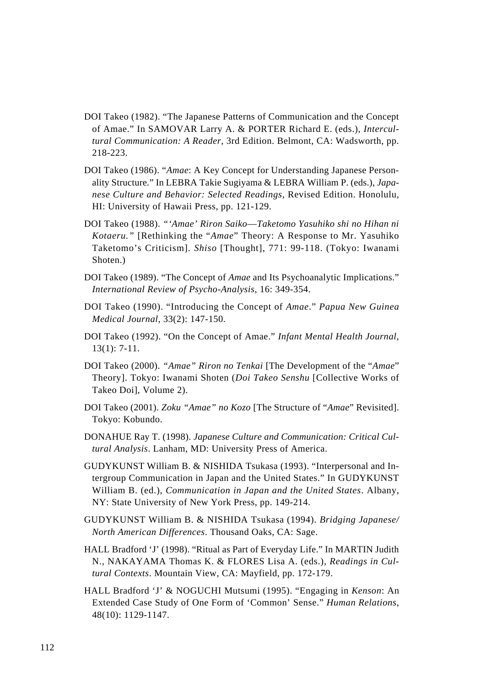- DOI Takeo (1982). "The Japanese Patterns of Communication and the Concept of Amae." In SAMOVAR Larry A. & PORTER Richard E. (eds.), *Intercultural Communication: A Reader*, 3rd Edition. Belmont, CA: Wadsworth, pp. 218-223.
- DOI Takeo (1986). "*Amae*: A Key Concept for Understanding Japanese Personality Structure." In LEBRA Takie Sugiyama & LEBRA William P. (eds.), *Japanese Culture and Behavior: Selected Readings*, Revised Edition. Honolulu, HI: University of Hawaii Press, pp. 121-129.
- DOI Takeo (1988). *"'Amae' Riron Saiko*—*Taketomo Yasuhiko shi no Hihan ni Kotaeru."* [Rethinking the "*Amae*" Theory: A Response to Mr. Yasuhiko Taketomo's Criticism]. *Shiso* [Thought], 771: 99-118. (Tokyo: Iwanami Shoten.)
- DOI Takeo (1989). "The Concept of *Amae* and Its Psychoanalytic Implications." *International Review of Psycho-Analysis*, 16: 349-354.
- DOI Takeo (1990). "Introducing the Concept of *Amae*." *Papua New Guinea Medical Journal*, 33(2): 147-150.
- DOI Takeo (1992). "On the Concept of Amae." *Infant Mental Health Journal,* 13(1): 7-11.
- DOI Takeo (2000). *"Amae" Riron no Tenkai* [The Development of the "*Amae*" Theory]. Tokyo: Iwanami Shoten (*Doi Takeo Senshu* [Collective Works of Takeo Doi], Volume 2).
- DOI Takeo (2001). *Zoku "Amae" no Kozo* [The Structure of "*Amae*" Revisited]. Tokyo: Kobundo.
- DONAHUE Ray T. (1998). *Japanese Culture and Communication: Critical Cultural Analysis*. Lanham, MD: University Press of America.
- GUDYKUNST William B. & NISHIDA Tsukasa (1993). "Interpersonal and Intergroup Communication in Japan and the United States." In GUDYKUNST William B. (ed.), *Communication in Japan and the United States*. Albany, NY: State University of New York Press, pp. 149-214.
- GUDYKUNST William B. & NISHIDA Tsukasa (1994). *Bridging Japanese/ North American Differences*. Thousand Oaks, CA: Sage.
- HALL Bradford 'J' (1998). "Ritual as Part of Everyday Life." In MARTIN Judith N., NAKAYAMA Thomas K. & FLORES Lisa A. (eds.), *Readings in Cultural Contexts*. Mountain View, CA: Mayfield, pp. 172-179.
- HALL Bradford 'J' & NOGUCHI Mutsumi (1995). "Engaging in *Kenson*: An Extended Case Study of One Form of 'Common' Sense." *Human Relations*, 48(10): 1129-1147.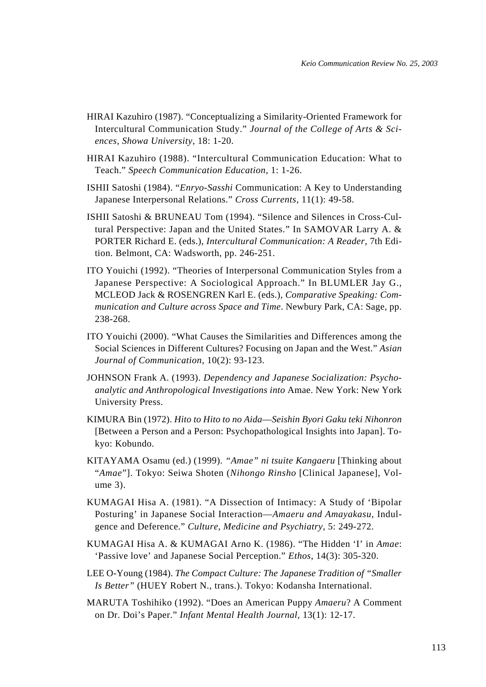- HIRAI Kazuhiro (1987). "Conceptualizing a Similarity-Oriented Framework for Intercultural Communication Study." *Journal of the College of Arts & Sciences, Showa University*, 18: 1-20.
- HIRAI Kazuhiro (1988). "Intercultural Communication Education: What to Teach." *Speech Communication Education*, 1: 1-26.
- ISHII Satoshi (1984). "*Enryo-Sasshi* Communication: A Key to Understanding Japanese Interpersonal Relations." *Cross Currents*, 11(1): 49-58.
- ISHII Satoshi & BRUNEAU Tom (1994). "Silence and Silences in Cross-Cultural Perspective: Japan and the United States." In SAMOVAR Larry A. & PORTER Richard E. (eds.), *Intercultural Communication: A Reader*, 7th Edition. Belmont, CA: Wadsworth, pp. 246-251.
- ITO Youichi (1992). "Theories of Interpersonal Communication Styles from a Japanese Perspective: A Sociological Approach." In BLUMLER Jay G., MCLEOD Jack & ROSENGREN Karl E. (eds.), *Comparative Speaking: Communication and Culture across Space and Time*. Newbury Park, CA: Sage, pp. 238-268.
- ITO Youichi (2000). "What Causes the Similarities and Differences among the Social Sciences in Different Cultures? Focusing on Japan and the West." *Asian Journal of Communication*, 10(2): 93-123.
- JOHNSON Frank A. (1993). *Dependency and Japanese Socialization: Psychoanalytic and Anthropological Investigations into* Amae. New York: New York University Press.
- KIMURA Bin (1972). *Hito to Hito to no Aida*—*Seishin Byori Gaku teki Nihonron* [Between a Person and a Person: Psychopathological Insights into Japan]. Tokyo: Kobundo.
- KITAYAMA Osamu (ed.) (1999). *"Amae" ni tsuite Kangaeru* [Thinking about "*Amae*"]. Tokyo: Seiwa Shoten (*Nihongo Rinsho* [Clinical Japanese], Volume 3).
- KUMAGAI Hisa A. (1981). "A Dissection of Intimacy: A Study of 'Bipolar Posturing' in Japanese Social Interaction—*Amaeru and Amayakasu*, Indulgence and Deference." *Culture, Medicine and Psychiatry*, 5: 249-272.
- KUMAGAI Hisa A. & KUMAGAI Arno K. (1986). "The Hidden 'I' in *Amae*: 'Passive love' and Japanese Social Perception." *Ethos*, 14(3): 305-320.
- LEE O-Young (1984). *The Compact Culture: The Japanese Tradition of "Smaller Is Better"* (HUEY Robert N., trans.). Tokyo: Kodansha International.
- MARUTA Toshihiko (1992). "Does an American Puppy *Amaeru*? A Comment on Dr. Doi's Paper." *Infant Mental Health Journal*, 13(1): 12-17.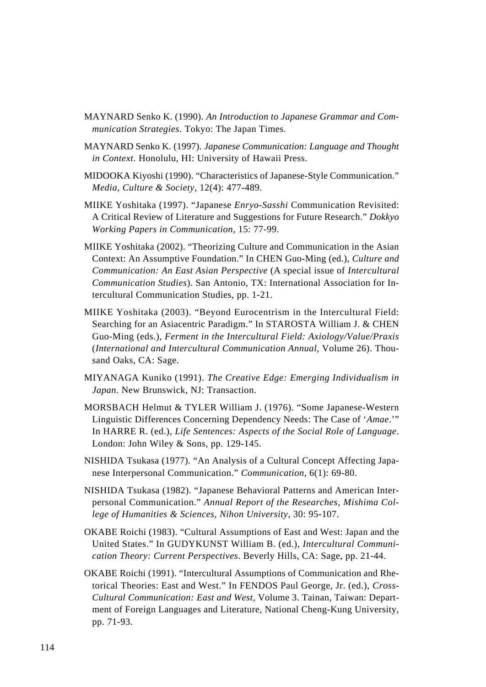- MAYNARD Senko K. (1990). *An Introduction to Japanese Grammar and Communication Strategies*. Tokyo: The Japan Times.
- MAYNARD Senko K. (1997). *Japanese Communication: Language and Thought in Context*. Honolulu, HI: University of Hawaii Press.
- MIDOOKA Kiyoshi (1990). "Characteristics of Japanese-Style Communication." *Media, Culture & Society*, 12(4): 477-489.
- MIIKE Yoshitaka (1997). "Japanese *Enryo-Sasshi* Communication Revisited: A Critical Review of Literature and Suggestions for Future Research." *Dokkyo Working Papers in Communication*, 15: 77-99.
- MIIKE Yoshitaka (2002). "Theorizing Culture and Communication in the Asian Context: An Assumptive Foundation." In CHEN Guo-Ming (ed.), *Culture and Communication: An East Asian Perspective* (A special issue of *Intercultural Communication Studies*). San Antonio, TX: International Association for Intercultural Communication Studies, pp. 1-21.
- MIIKE Yoshitaka (2003). "Beyond Eurocentrism in the Intercultural Field: Searching for an Asiacentric Paradigm." In STAROSTA William J. & CHEN Guo-Ming (eds.), *Ferment in the Intercultural Field: Axiology/Value/Praxis* (*International and Intercultural Communication Annual*, Volume 26). Thousand Oaks, CA: Sage.
- MIYANAGA Kuniko (1991). *The Creative Edge: Emerging Individualism in Japan*. New Brunswick, NJ: Transaction.
- MORSBACH Helmut & TYLER William J. (1976). "Some Japanese-Western Linguistic Differences Concerning Dependency Needs: The Case of '*Amae*.'" In HARRE R. (ed.), *Life Sentences: Aspects of the Social Role of Language*. London: John Wiley & Sons, pp. 129-145.
- NISHIDA Tsukasa (1977). "An Analysis of a Cultural Concept Affecting Japanese Interpersonal Communication." *Communication*, 6(1): 69-80.
- NISHIDA Tsukasa (1982). "Japanese Behavioral Patterns and American Interpersonal Communication." *Annual Report of the Researches, Mishima College of Humanities & Sciences, Nihon University*, 30: 95-107.
- OKABE Roichi (1983). "Cultural Assumptions of East and West: Japan and the United States." In GUDYKUNST William B. (ed.), *Intercultural Communication Theory: Current Perspectives*. Beverly Hills, CA: Sage, pp. 21-44.
- OKABE Roichi (1991). "Intercultural Assumptions of Communication and Rhetorical Theories: East and West." In FENDOS Paul George, Jr. (ed.), *Cross-Cultural Communication: East and West*, Volume 3. Tainan, Taiwan: Department of Foreign Languages and Literature, National Cheng-Kung University, pp. 71-93.